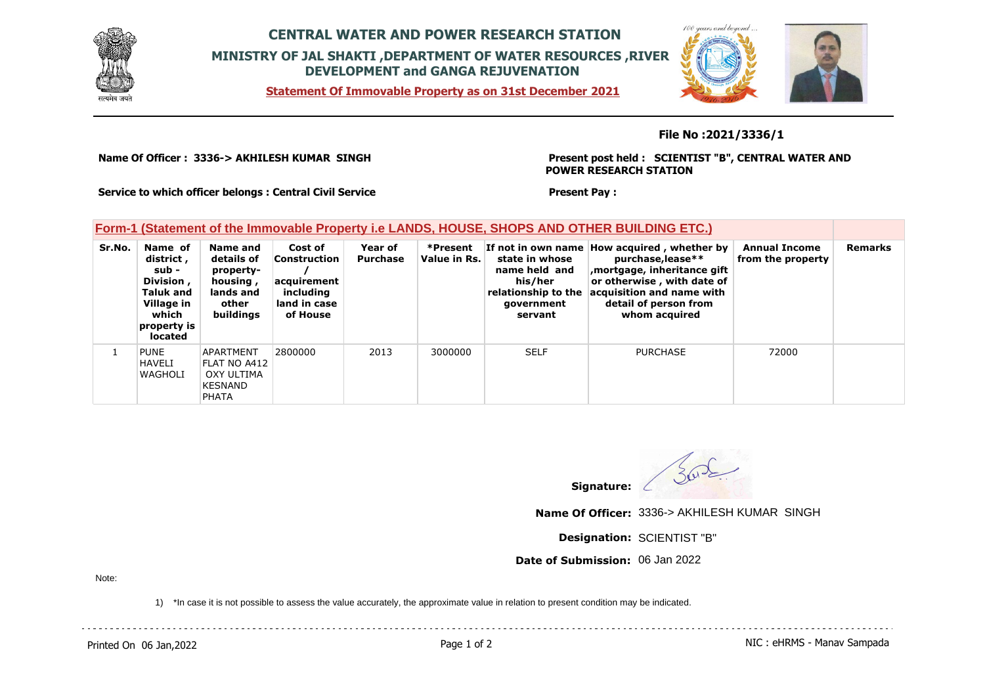

## **CENTRAL WATER AND POWER RESEARCH STATION MINISTRY OF JAL SHAKTI ,DEPARTMENT OF WATER RESOURCES ,RIVER DEVELOPMENT and GANGA REJUVENATION**

**Statement Of Immovable Property as on 31st December 2021**



## **File No :2021/3336/1**

**Name Of Officer : 3336-> AKHILESH KUMAR SINGH** 

**Present post held : SCIENTIST "B", CENTRAL WATER AND POWER RESEARCH STATION**

**Service to which officer belongs : Central Civil Service**

## **Form-1 (Statement of the Immovable Property i.e LANDS, HOUSE, SHOPS AND OTHER BUILDING ETC.)**

| Sr.No. | Name of<br>district,<br>sub -<br>Division,<br><b>Taluk and</b><br>Village in<br>which<br>property is<br>located | Name and<br>details of<br>property-<br>housing,<br>lands and<br>other<br>buildings | Cost of<br>Construction<br>acquirement<br>including<br>land in case<br>of House | Year of<br>Purchase | *Present<br>Value in Rs. | state in whose<br>name held and<br>his/her<br>relationship to the<br>government<br>servant | If not in own name How acquired, whether by<br>purchase, lease**<br>mortgage, inheritance gift,<br>or otherwise, with date of<br>acquisition and name with<br>detail of person from<br>whom acquired | <b>Annual Income</b><br>from the property | Remarks |
|--------|-----------------------------------------------------------------------------------------------------------------|------------------------------------------------------------------------------------|---------------------------------------------------------------------------------|---------------------|--------------------------|--------------------------------------------------------------------------------------------|------------------------------------------------------------------------------------------------------------------------------------------------------------------------------------------------------|-------------------------------------------|---------|
|        | <b>PUNE</b><br><b>HAVELI</b><br>WAGHOLI                                                                         | APARTMENT<br>FLAT NO A412<br>OXY ULTIMA<br><b>KESNAND</b><br><b>PHATA</b>          | 2800000                                                                         | 2013                | 3000000                  | <b>SELF</b>                                                                                | <b>PURCHASE</b>                                                                                                                                                                                      | 72000                                     |         |

 $302$ 

**Signature:**

**Present Pay :** 

**Name Of Officer:** 3336-> AKHILESH KUMAR SINGH

**Designation:** SCIENTIST "B"

**Date of Submission:** 06 Jan 2022

Note:

1) \*In case it is not possible to assess the value accurately, the approximate value in relation to present condition may be indicated.